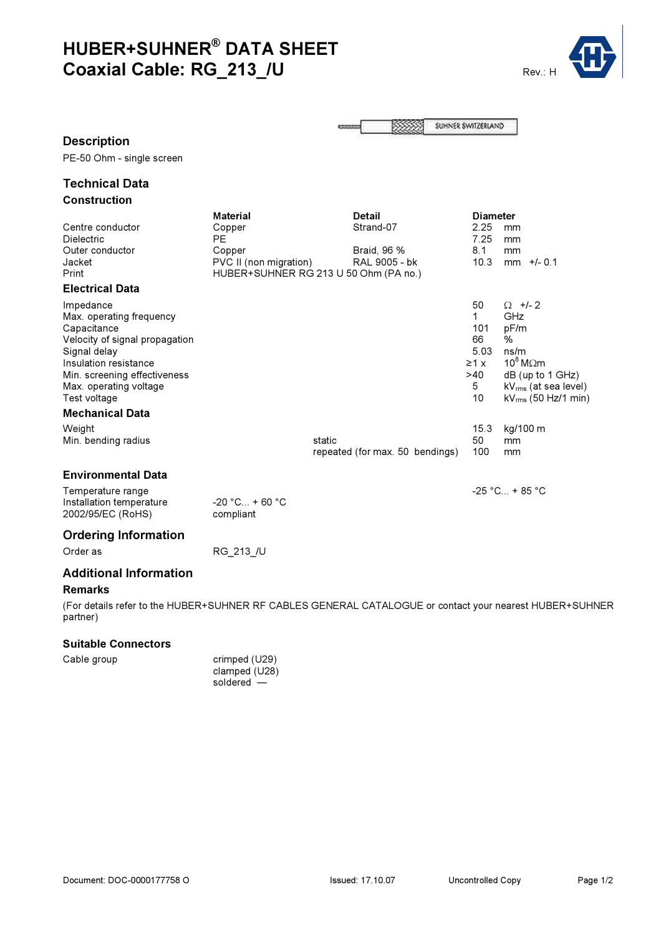# HUBER+SUHNER® DATA SHEET Coaxial Cable: RG\_213\_/U Rev.: H



SUHNER SWITZERLAND 8888

# Description

PE-50 Ohm - single screen

# Technical Data Construction

|                                | <b>Material</b><br><b>Detail</b>      |        |                                 | <b>Diameter</b> |            |                                  |
|--------------------------------|---------------------------------------|--------|---------------------------------|-----------------|------------|----------------------------------|
| Centre conductor               | Copper                                |        | Strand-07                       |                 | 2.25       | mm                               |
| Dielectric                     | <b>PE</b>                             |        |                                 |                 | 7.25       | mm                               |
| Outer conductor                | Copper                                |        | Braid, 96 %                     |                 | 8.1        | mm                               |
| Jacket                         | PVC II (non migration)                |        | RAL 9005 - bk                   |                 | 10.3       | $mm$ +/- 0.1                     |
| Print                          | HUBER+SUHNER RG 213 U 50 Ohm (PA no.) |        |                                 |                 |            |                                  |
| <b>Electrical Data</b>         |                                       |        |                                 |                 |            |                                  |
| Impedance                      |                                       |        |                                 |                 | 50         | $\Omega$ +/- 2                   |
| Max. operating frequency       |                                       |        |                                 |                 | 1          | <b>GHz</b>                       |
| Capacitance                    |                                       |        |                                 |                 | 101        | pF/m                             |
| Velocity of signal propagation |                                       |        |                                 |                 | 66         | %                                |
| Signal delay                   |                                       |        |                                 |                 | 5.03       | ns/m                             |
| Insulation resistance          |                                       |        |                                 |                 | $\geq 1$ X | $10^8$ M $\Omega$ m              |
| Min. screening effectiveness   |                                       |        |                                 |                 | >40        | $dB$ (up to 1 GHz)               |
| Max. operating voltage         |                                       |        |                                 |                 | 5          | kV <sub>rms</sub> (at sea level) |
| Test voltage                   |                                       |        |                                 |                 | 10         | $kV_{rms}$ (50 Hz/1 min)         |
| <b>Mechanical Data</b>         |                                       |        |                                 |                 |            |                                  |
| Weight                         |                                       |        |                                 |                 | 15.3       | kg/100 m                         |
| Min. bending radius            |                                       | static |                                 |                 | 50         | mm                               |
|                                |                                       |        | repeated (for max. 50 bendings) |                 | 100        | mm                               |
| <b>Environmental Data</b>      |                                       |        |                                 |                 |            |                                  |
|                                |                                       |        |                                 |                 |            |                                  |
| Temperature range              |                                       |        |                                 |                 |            | $-25$ °C + 85 °C                 |
| Installation temperature       | $-20 °C_{} + 60 °C$                   |        |                                 |                 |            |                                  |

2002/95/EC (RoHS) compliant

# Ordering Information

Order as RG\_213\_/U

# Additional Information

### Remarks

(For details refer to the HUBER+SUHNER RF CABLES GENERAL CATALOGUE or contact your nearest HUBER+SUHNER partner)

# Suitable Connectors

| Cable group | crimped (U29) |
|-------------|---------------|
|             | clamped (U28) |
|             | soldered -    |